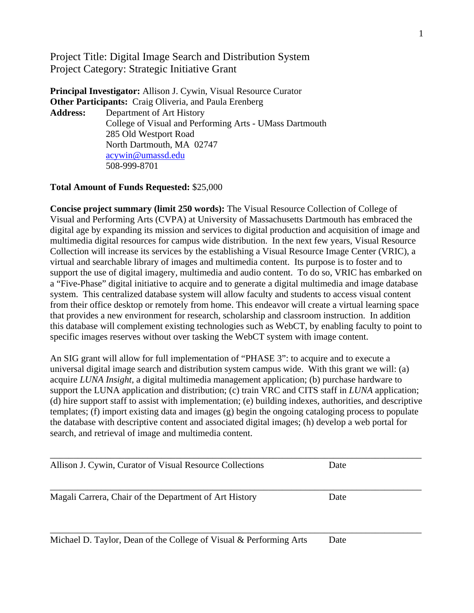Project Title: Digital Image Search and Distribution System Project Category: Strategic Initiative Grant

**Principal Investigator:** Allison J. Cywin, Visual Resource Curator **Other Participants:** Craig Oliveria, and Paula Erenberg **Address:** Department of Art History College of Visual and Performing Arts - UMass Dartmouth 285 Old Westport Road North Dartmouth, MA 02747 [acywin@umassd.edu](mailto:acywin@umassd.edu) 508-999-8701

### **Total Amount of Funds Requested:** \$25,000

**Concise project summary (limit 250 words):** The Visual Resource Collection of College of Visual and Performing Arts (CVPA) at University of Massachusetts Dartmouth has embraced the digital age by expanding its mission and services to digital production and acquisition of image and multimedia digital resources for campus wide distribution. In the next few years, Visual Resource Collection will increase its services by the establishing a Visual Resource Image Center (VRIC), a virtual and searchable library of images and multimedia content. Its purpose is to foster and to support the use of digital imagery, multimedia and audio content. To do so, VRIC has embarked on a "Five-Phase" digital initiative to acquire and to generate a digital multimedia and image database system. This centralized database system will allow faculty and students to access visual content from their office desktop or remotely from home. This endeavor will create a virtual learning space that provides a new environment for research, scholarship and classroom instruction. In addition this database will complement existing technologies such as WebCT, by enabling faculty to point to specific images reserves without over tasking the WebCT system with image content.

An SIG grant will allow for full implementation of "PHASE 3": to acquire and to execute a universal digital image search and distribution system campus wide. With this grant we will: (a) acquire *LUNA Insight*, a digital multimedia management application; (b) purchase hardware to support the LUNA application and distribution; (c) train VRC and CITS staff in *LUNA* application; (d) hire support staff to assist with implementation; (e) building indexes, authorities, and descriptive templates; (f) import existing data and images (g) begin the ongoing cataloging process to populate the database with descriptive content and associated digital images; (h) develop a web portal for search, and retrieval of image and multimedia content.

| Allison J. Cywin, Curator of Visual Resource Collections           | Date |  |
|--------------------------------------------------------------------|------|--|
| Magali Carrera, Chair of the Department of Art History             | Date |  |
| Michael D. Taylor, Dean of the College of Visual & Performing Arts | Date |  |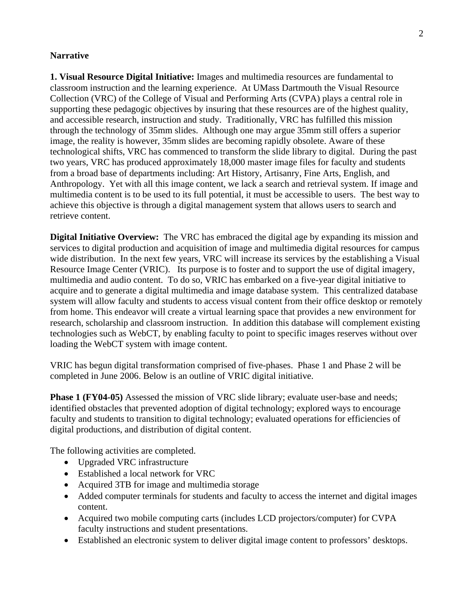#### **Narrative**

**1. Visual Resource Digital Initiative:** Images and multimedia resources are fundamental to classroom instruction and the learning experience. At UMass Dartmouth the Visual Resource Collection (VRC) of the College of Visual and Performing Arts (CVPA) plays a central role in supporting these pedagogic objectives by insuring that these resources are of the highest quality, and accessible research, instruction and study. Traditionally, VRC has fulfilled this mission through the technology of 35mm slides. Although one may argue 35mm still offers a superior image, the reality is however, 35mm slides are becoming rapidly obsolete. Aware of these technological shifts, VRC has commenced to transform the slide library to digital. During the past two years, VRC has produced approximately 18,000 master image files for faculty and students from a broad base of departments including: Art History, Artisanry, Fine Arts, English, and Anthropology. Yet with all this image content, we lack a search and retrieval system. If image and multimedia content is to be used to its full potential, it must be accessible to users. The best way to achieve this objective is through a digital management system that allows users to search and retrieve content.

**Digital Initiative Overview:** The VRC has embraced the digital age by expanding its mission and services to digital production and acquisition of image and multimedia digital resources for campus wide distribution. In the next few years, VRC will increase its services by the establishing a Visual Resource Image Center (VRIC). Its purpose is to foster and to support the use of digital imagery, multimedia and audio content. To do so, VRIC has embarked on a five-year digital initiative to acquire and to generate a digital multimedia and image database system. This centralized database system will allow faculty and students to access visual content from their office desktop or remotely from home. This endeavor will create a virtual learning space that provides a new environment for research, scholarship and classroom instruction. In addition this database will complement existing technologies such as WebCT, by enabling faculty to point to specific images reserves without over loading the WebCT system with image content.

VRIC has begun digital transformation comprised of five-phases. Phase 1 and Phase 2 will be completed in June 2006. Below is an outline of VRIC digital initiative.

**Phase 1 (FY04-05)** Assessed the mission of VRC slide library; evaluate user-base and needs; identified obstacles that prevented adoption of digital technology; explored ways to encourage faculty and students to transition to digital technology; evaluated operations for efficiencies of digital productions, and distribution of digital content.

The following activities are completed.

- Upgraded VRC infrastructure
- Established a local network for VRC
- Acquired 3TB for image and multimedia storage
- Added computer terminals for students and faculty to access the internet and digital images content.
- Acquired two mobile computing carts (includes LCD projectors/computer) for CVPA faculty instructions and student presentations.
- Established an electronic system to deliver digital image content to professors' desktops.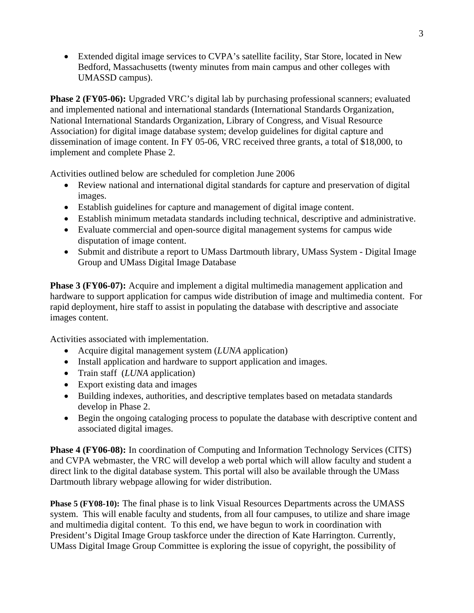• Extended digital image services to CVPA's satellite facility, Star Store, located in New Bedford, Massachusetts (twenty minutes from main campus and other colleges with UMASSD campus).

**Phase 2 (FY05-06):** Upgraded VRC's digital lab by purchasing professional scanners; evaluated and implemented national and international standards (International Standards Organization, National International Standards Organization, Library of Congress, and Visual Resource Association) for digital image database system; develop guidelines for digital capture and dissemination of image content. In FY 05-06, VRC received three grants, a total of \$18,000, to implement and complete Phase 2.

Activities outlined below are scheduled for completion June 2006

- Review national and international digital standards for capture and preservation of digital images.
- Establish guidelines for capture and management of digital image content.
- Establish minimum metadata standards including technical, descriptive and administrative.
- Evaluate commercial and open-source digital management systems for campus wide disputation of image content.
- Submit and distribute a report to UMass Dartmouth library, UMass System Digital Image Group and UMass Digital Image Database

**Phase 3 (FY06-07):** Acquire and implement a digital multimedia management application and hardware to support application for campus wide distribution of image and multimedia content. For rapid deployment, hire staff to assist in populating the database with descriptive and associate images content.

Activities associated with implementation.

- Acquire digital management system (*LUNA* application)
- Install application and hardware to support application and images.
- Train staff (*LUNA* application)
- Export existing data and images
- Building indexes, authorities, and descriptive templates based on metadata standards develop in Phase 2.
- Begin the ongoing cataloging process to populate the database with descriptive content and associated digital images.

**Phase 4 (FY06-08):** In coordination of Computing and Information Technology Services (CITS) and CVPA webmaster, the VRC will develop a web portal which will allow faculty and student a direct link to the digital database system. This portal will also be available through the UMass Dartmouth library webpage allowing for wider distribution.

**Phase 5 (FY08-10):** The final phase is to link Visual Resources Departments across the UMASS system. This will enable faculty and students, from all four campuses, to utilize and share image and multimedia digital content. To this end, we have begun to work in coordination with President's Digital Image Group taskforce under the direction of Kate Harrington. Currently, UMass Digital Image Group Committee is exploring the issue of copyright, the possibility of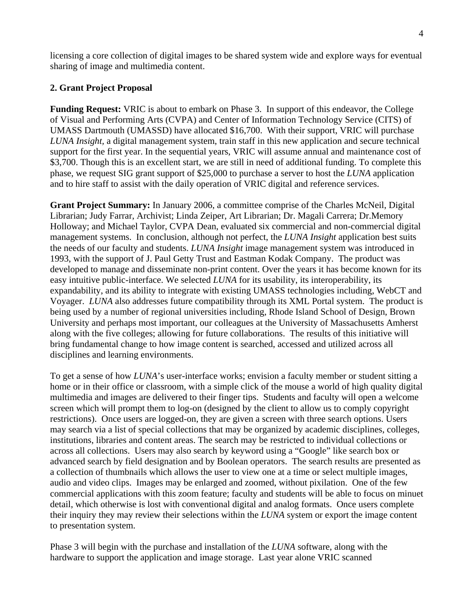licensing a core collection of digital images to be shared system wide and explore ways for eventual sharing of image and multimedia content.

## **2. Grant Project Proposal**

**Funding Request:** VRIC is about to embark on Phase 3. In support of this endeavor, the College of Visual and Performing Arts (CVPA) and Center of Information Technology Service (CITS) of UMASS Dartmouth (UMASSD) have allocated \$16,700. With their support, VRIC will purchase *LUNA Insight,* a digital management system, train staff in this new application and secure technical support for the first year. In the sequential years, VRIC will assume annual and maintenance cost of \$3,700. Though this is an excellent start, we are still in need of additional funding. To complete this phase, we request SIG grant support of \$25,000 to purchase a server to host the *LUNA* application and to hire staff to assist with the daily operation of VRIC digital and reference services.

**Grant Project Summary:** In January 2006, a committee comprise of the Charles McNeil, Digital Librarian; Judy Farrar, Archivist; Linda Zeiper, Art Librarian; Dr. Magali Carrera; Dr.Memory Holloway; and Michael Taylor, CVPA Dean, evaluated six commercial and non-commercial digital management systems. In conclusion, although not perfect, the *LUNA Insight* application best suits the needs of our faculty and students. *LUNA Insight* image management system was introduced in 1993, with the support of J. Paul Getty Trust and Eastman Kodak Company. The product was developed to manage and disseminate non-print content. Over the years it has become known for its easy intuitive public-interface. We selected *LUNA* for its usability, its interoperability, its expandability, and its ability to integrate with existing UMASS technologies including, WebCT and Voyager. *LUNA* also addresses future compatibility through its XML Portal system. The product is being used by a number of regional universities including, Rhode Island School of Design, Brown University and perhaps most important, our colleagues at the University of Massachusetts Amherst along with the five colleges; allowing for future collaborations. The results of this initiative will bring fundamental change to how image content is searched, accessed and utilized across all disciplines and learning environments.

To get a sense of how *LUNA*'s user-interface works; envision a faculty member or student sitting a home or in their office or classroom, with a simple click of the mouse a world of high quality digital multimedia and images are delivered to their finger tips. Students and faculty will open a welcome screen which will prompt them to log-on (designed by the client to allow us to comply copyright restrictions). Once users are logged-on, they are given a screen with three search options. Users may search via a list of special collections that may be organized by academic disciplines, colleges, institutions, libraries and content areas. The search may be restricted to individual collections or across all collections. Users may also search by keyword using a "Google" like search box or advanced search by field designation and by Boolean operators. The search results are presented as a collection of thumbnails which allows the user to view one at a time or select multiple images, audio and video clips. Images may be enlarged and zoomed, without pixilation. One of the few commercial applications with this zoom feature; faculty and students will be able to focus on minuet detail, which otherwise is lost with conventional digital and analog formats. Once users complete their inquiry they may review their selections within the *LUNA* system or export the image content to presentation system.

Phase 3 will begin with the purchase and installation of the *LUNA* software, along with the hardware to support the application and image storage. Last year alone VRIC scanned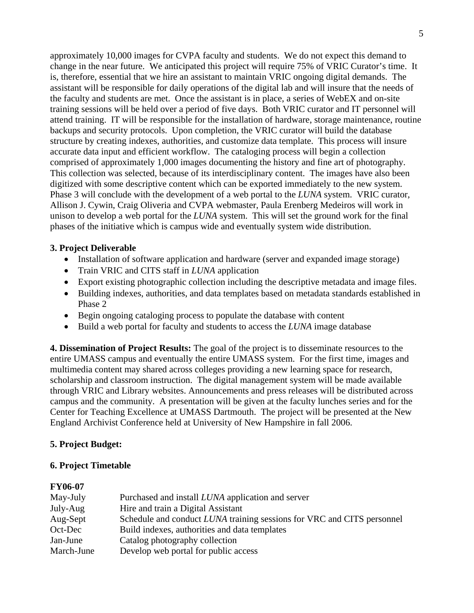approximately 10,000 images for CVPA faculty and students. We do not expect this demand to change in the near future. We anticipated this project will require 75% of VRIC Curator's time. It is, therefore, essential that we hire an assistant to maintain VRIC ongoing digital demands. The assistant will be responsible for daily operations of the digital lab and will insure that the needs of the faculty and students are met. Once the assistant is in place, a series of WebEX and on-site training sessions will be held over a period of five days. Both VRIC curator and IT personnel will attend training. IT will be responsible for the installation of hardware, storage maintenance, routine backups and security protocols. Upon completion, the VRIC curator will build the database structure by creating indexes, authorities, and customize data template. This process will insure accurate data input and efficient workflow. The cataloging process will begin a collection comprised of approximately 1,000 images documenting the history and fine art of photography. This collection was selected, because of its interdisciplinary content. The images have also been digitized with some descriptive content which can be exported immediately to the new system. Phase 3 will conclude with the development of a web portal to the *LUNA* system. VRIC curator, Allison J. Cywin, Craig Oliveria and CVPA webmaster, Paula Erenberg Medeiros will work in unison to develop a web portal for the *LUNA* system. This will set the ground work for the final phases of the initiative which is campus wide and eventually system wide distribution.

## **3. Project Deliverable**

- Installation of software application and hardware (server and expanded image storage)
- Train VRIC and CITS staff in *LUNA* application
- Export existing photographic collection including the descriptive metadata and image files.
- Building indexes, authorities, and data templates based on metadata standards established in Phase 2
- Begin ongoing cataloging process to populate the database with content
- Build a web portal for faculty and students to access the *LUNA* image database

**4. Dissemination of Project Results:** The goal of the project is to disseminate resources to the entire UMASS campus and eventually the entire UMASS system. For the first time, images and multimedia content may shared across colleges providing a new learning space for research, scholarship and classroom instruction. The digital management system will be made available through VRIC and Library websites. Announcements and press releases will be distributed across campus and the community. A presentation will be given at the faculty lunches series and for the Center for Teaching Excellence at UMASS Dartmouth. The project will be presented at the New England Archivist Conference held at University of New Hampshire in fall 2006.

# **5. Project Budget:**

### **6. Project Timetable**

### **FY06-07**

| Purchased and install LUNA application and server                      |
|------------------------------------------------------------------------|
| Hire and train a Digital Assistant                                     |
| Schedule and conduct LUNA training sessions for VRC and CITS personnel |
| Build indexes, authorities and data templates                          |
| Catalog photography collection                                         |
| Develop web portal for public access                                   |
|                                                                        |